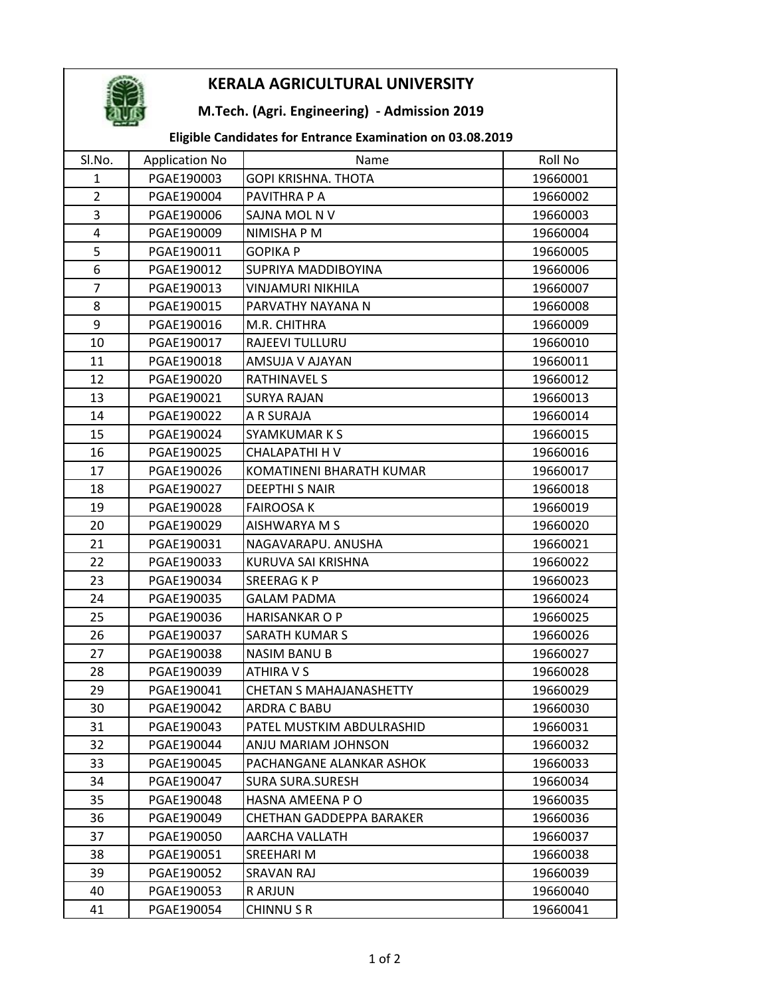

## KERALA AGRICULTURAL UNIVERSITY

### M.Tech. (Agri. Engineering) - Admission 2019

### Eligible Candidates for Entrance Examination on 03.08.2019

| SI.No.         | <b>Application No</b> | Name                                       | Roll No              |
|----------------|-----------------------|--------------------------------------------|----------------------|
| 1              | PGAE190003            | GOPI KRISHNA. THOTA                        | 19660001             |
| $\overline{2}$ | PGAE190004            | PAVITHRA P A                               | 19660002             |
| 3              | PGAE190006            | SAJNA MOL N V                              | 19660003             |
| $\overline{4}$ | PGAE190009            | NIMISHA P M                                | 19660004             |
| 5              | PGAE190011            | <b>GOPIKA P</b>                            | 19660005             |
| 6              | PGAE190012            | SUPRIYA MADDIBOYINA                        | 19660006             |
| $\overline{7}$ | PGAE190013            | <b>VINJAMURI NIKHILA</b>                   | 19660007             |
| 8              | PGAE190015            | PARVATHY NAYANA N                          | 19660008             |
| 9              | PGAE190016            | M.R. CHITHRA                               | 19660009             |
| 10             | PGAE190017            | RAJEEVI TULLURU                            | 19660010             |
| 11             | PGAE190018            | AMSUJA V AJAYAN                            | 19660011             |
| 12             | PGAE190020            | <b>RATHINAVEL S</b>                        | 19660012             |
| 13             | PGAE190021            | <b>SURYA RAJAN</b>                         | 19660013             |
| 14             | PGAE190022            | A R SURAJA                                 | 19660014             |
|                |                       |                                            |                      |
| 15             | PGAE190024            | <b>SYAMKUMARKS</b><br><b>CHALAPATHI HV</b> | 19660015<br>19660016 |
| 16             | PGAE190025            |                                            |                      |
| 17             | PGAE190026            | KOMATINENI BHARATH KUMAR                   | 19660017             |
| 18             | PGAE190027            | <b>DEEPTHI S NAIR</b>                      | 19660018             |
| 19             | PGAE190028            | <b>FAIROOSA K</b>                          | 19660019             |
| 20             | PGAE190029            | AISHWARYA M S                              | 19660020             |
| 21             | PGAE190031            | NAGAVARAPU. ANUSHA                         | 19660021             |
| 22             | PGAE190033            | KURUVA SAI KRISHNA                         | 19660022             |
| 23             | PGAE190034            | SREERAG K P                                | 19660023             |
| 24             | PGAE190035            | <b>GALAM PADMA</b>                         | 19660024             |
| 25             | PGAE190036            | HARISANKAR O P                             | 19660025             |
| 26             | PGAE190037            | <b>SARATH KUMAR S</b>                      | 19660026             |
| 27             | PGAE190038            | <b>NASIM BANU B</b>                        | 19660027             |
| 28             | PGAE190039            | ATHIRA V S                                 | 19660028             |
| 29             | PGAE190041            | <b>CHETAN S MAHAJANASHETTY</b>             | 19660029             |
| 30             | PGAE190042            | ARDRA C BABU                               | 19660030             |
| 31             | PGAE190043            | PATEL MUSTKIM ABDULRASHID                  | 19660031             |
| 32             | PGAE190044            | ANJU MARIAM JOHNSON                        | 19660032             |
| 33             | PGAE190045            | PACHANGANE ALANKAR ASHOK                   | 19660033             |
| 34             | PGAE190047            | <b>SURA SURA.SURESH</b>                    | 19660034             |
| 35             | PGAE190048            | HASNA AMEENA PO                            | 19660035             |
| 36             | PGAE190049            | CHETHAN GADDEPPA BARAKER                   | 19660036             |
| 37             | PGAE190050            | AARCHA VALLATH                             | 19660037             |
| 38             | PGAE190051            | <b>SREEHARI M</b>                          | 19660038             |
| 39             | PGAE190052            | SRAVAN RAJ                                 | 19660039             |
| 40             | PGAE190053            | R ARJUN                                    | 19660040             |
| 41             | PGAE190054            | <b>CHINNUSR</b>                            | 19660041             |